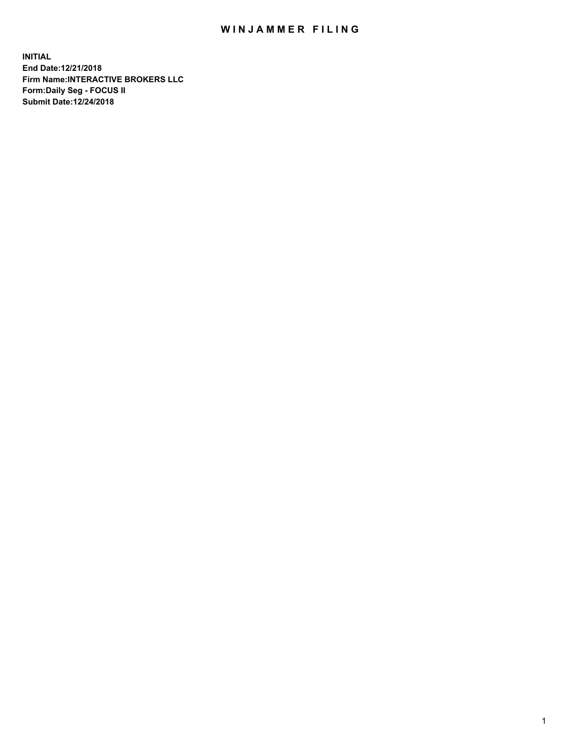## WIN JAMMER FILING

**INITIAL End Date:12/21/2018 Firm Name:INTERACTIVE BROKERS LLC Form:Daily Seg - FOCUS II Submit Date:12/24/2018**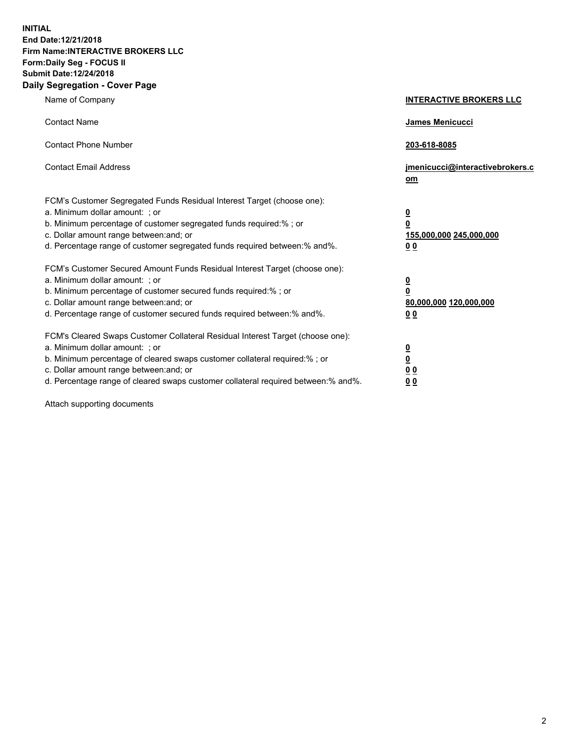**INITIAL End Date:12/21/2018 Firm Name:INTERACTIVE BROKERS LLC Form:Daily Seg - FOCUS II Submit Date:12/24/2018 Daily Segregation - Cover Page**

| Name of Company                                                                                                                                                                                                                                                                                                                | <b>INTERACTIVE BROKERS LLC</b>                                                                  |
|--------------------------------------------------------------------------------------------------------------------------------------------------------------------------------------------------------------------------------------------------------------------------------------------------------------------------------|-------------------------------------------------------------------------------------------------|
| <b>Contact Name</b>                                                                                                                                                                                                                                                                                                            | James Menicucci                                                                                 |
| <b>Contact Phone Number</b>                                                                                                                                                                                                                                                                                                    | 203-618-8085                                                                                    |
| <b>Contact Email Address</b>                                                                                                                                                                                                                                                                                                   | jmenicucci@interactivebrokers.c<br>om                                                           |
| FCM's Customer Segregated Funds Residual Interest Target (choose one):<br>a. Minimum dollar amount: ; or<br>b. Minimum percentage of customer segregated funds required:% ; or<br>c. Dollar amount range between: and; or<br>d. Percentage range of customer segregated funds required between:% and%.                         | $\overline{\mathbf{0}}$<br>$\overline{\mathbf{0}}$<br>155,000,000 245,000,000<br>0 <sub>0</sub> |
| FCM's Customer Secured Amount Funds Residual Interest Target (choose one):<br>a. Minimum dollar amount: ; or<br>b. Minimum percentage of customer secured funds required:%; or<br>c. Dollar amount range between: and; or<br>d. Percentage range of customer secured funds required between:% and%.                            | $\overline{\mathbf{0}}$<br>$\overline{\mathbf{0}}$<br>80,000,000 120,000,000<br>0 <sub>0</sub>  |
| FCM's Cleared Swaps Customer Collateral Residual Interest Target (choose one):<br>a. Minimum dollar amount: ; or<br>b. Minimum percentage of cleared swaps customer collateral required:% ; or<br>c. Dollar amount range between: and; or<br>d. Percentage range of cleared swaps customer collateral required between:% and%. | $\overline{\mathbf{0}}$<br>$\underline{\mathbf{0}}$<br>0 <sub>0</sub><br>0 <sub>0</sub>         |

Attach supporting documents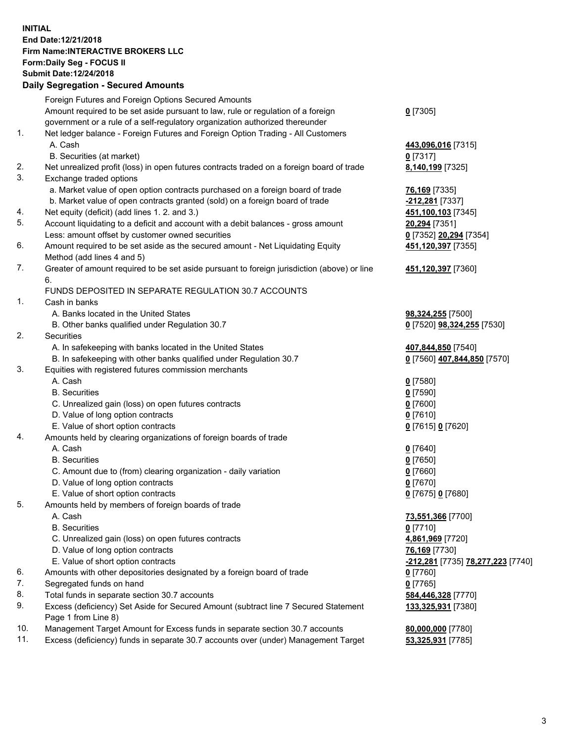## **INITIAL End Date:12/21/2018 Firm Name:INTERACTIVE BROKERS LLC Form:Daily Seg - FOCUS II Submit Date:12/24/2018**

|     | <b>Daily Segregation - Secured Amounts</b>                                                  |                                                |
|-----|---------------------------------------------------------------------------------------------|------------------------------------------------|
|     | Foreign Futures and Foreign Options Secured Amounts                                         |                                                |
|     | Amount required to be set aside pursuant to law, rule or regulation of a foreign            | $0$ [7305]                                     |
|     | government or a rule of a self-regulatory organization authorized thereunder                |                                                |
| 1.  | Net ledger balance - Foreign Futures and Foreign Option Trading - All Customers             |                                                |
|     | A. Cash                                                                                     | 443,096,016 [7315]                             |
|     | B. Securities (at market)                                                                   | $0$ [7317]                                     |
| 2.  | Net unrealized profit (loss) in open futures contracts traded on a foreign board of trade   | 8,140,199 [7325]                               |
| 3.  | Exchange traded options                                                                     |                                                |
|     | a. Market value of open option contracts purchased on a foreign board of trade              | 76,169 [7335]                                  |
|     | b. Market value of open contracts granted (sold) on a foreign board of trade                | -212,281 [7337]                                |
| 4.  | Net equity (deficit) (add lines 1.2. and 3.)                                                | 451,100,103 [7345]                             |
| 5.  | Account liquidating to a deficit and account with a debit balances - gross amount           | 20,294 [7351]                                  |
|     | Less: amount offset by customer owned securities                                            | 0 [7352] 20,294 [7354]                         |
| 6.  | Amount required to be set aside as the secured amount - Net Liquidating Equity              | 451,120,397 [7355]                             |
|     | Method (add lines 4 and 5)                                                                  |                                                |
| 7.  | Greater of amount required to be set aside pursuant to foreign jurisdiction (above) or line | 451,120,397 [7360]                             |
|     | 6.                                                                                          |                                                |
|     | FUNDS DEPOSITED IN SEPARATE REGULATION 30.7 ACCOUNTS                                        |                                                |
| 1.  | Cash in banks                                                                               |                                                |
|     | A. Banks located in the United States                                                       | 98,324,255 [7500]                              |
|     | B. Other banks qualified under Regulation 30.7                                              | 0 [7520] <b>98,324,255</b> [7530]              |
| 2.  | Securities                                                                                  |                                                |
|     | A. In safekeeping with banks located in the United States                                   | 407,844,850 [7540]                             |
|     | B. In safekeeping with other banks qualified under Regulation 30.7                          | 0 [7560] 407,844,850 [7570]                    |
| 3.  | Equities with registered futures commission merchants                                       |                                                |
|     | A. Cash                                                                                     | $0$ [7580]                                     |
|     | <b>B.</b> Securities                                                                        | $0$ [7590]                                     |
|     | C. Unrealized gain (loss) on open futures contracts                                         | $0$ [7600]                                     |
|     | D. Value of long option contracts                                                           | $0$ [7610]                                     |
|     | E. Value of short option contracts                                                          | 0 [7615] 0 [7620]                              |
| 4.  | Amounts held by clearing organizations of foreign boards of trade                           |                                                |
|     | A. Cash                                                                                     | $0$ [7640]                                     |
|     | <b>B.</b> Securities                                                                        | $0$ [7650]                                     |
|     | C. Amount due to (from) clearing organization - daily variation                             | $0$ [7660]                                     |
|     | D. Value of long option contracts                                                           | $0$ [7670]                                     |
|     | E. Value of short option contracts                                                          | 0 [7675] 0 [7680]                              |
| 5.  | Amounts held by members of foreign boards of trade                                          |                                                |
|     | A. Cash                                                                                     | 73,551,366 [7700]                              |
|     | <b>B.</b> Securities                                                                        | $0$ [7710]                                     |
|     | C. Unrealized gain (loss) on open futures contracts                                         | 4,861,969 [7720]                               |
|     | D. Value of long option contracts                                                           | 76,169 [7730]                                  |
|     | E. Value of short option contracts                                                          | <mark>-212,281</mark> [7735] 78,277,223 [7740] |
| 6.  | Amounts with other depositories designated by a foreign board of trade                      | $0$ [7760]                                     |
| 7.  | Segregated funds on hand                                                                    | $0$ [7765]                                     |
| 8.  | Total funds in separate section 30.7 accounts                                               | 584,446,328 [7770]                             |
| 9.  | Excess (deficiency) Set Aside for Secured Amount (subtract line 7 Secured Statement         | 133,325,931 [7380]                             |
|     | Page 1 from Line 8)                                                                         |                                                |
| 10. | Management Target Amount for Excess funds in separate section 30.7 accounts                 | 80,000,000 [7780]                              |
| 11. | Excess (deficiency) funds in separate 30.7 accounts over (under) Management Target          | 53,325,931 [7785]                              |
|     |                                                                                             |                                                |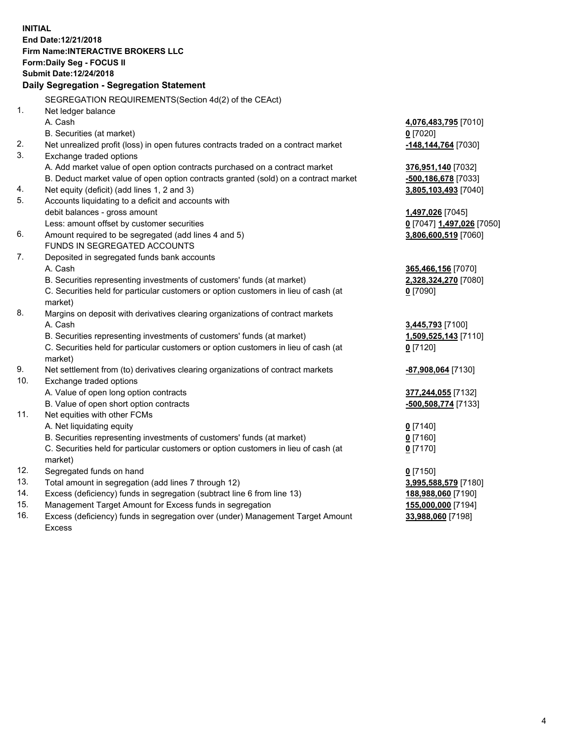**INITIAL End Date:12/21/2018 Firm Name:INTERACTIVE BROKERS LLC Form:Daily Seg - FOCUS II Submit Date:12/24/2018 Daily Segregation - Segregation Statement** SEGREGATION REQUIREMENTS(Section 4d(2) of the CEAct) 1. Net ledger balance A. Cash **4,076,483,795** [7010] B. Securities (at market) **0** [7020] 2. Net unrealized profit (loss) in open futures contracts traded on a contract market **-148,144,764** [7030] 3. Exchange traded options A. Add market value of open option contracts purchased on a contract market **376,951,140** [7032] B. Deduct market value of open option contracts granted (sold) on a contract market **-500,186,678** [7033] 4. Net equity (deficit) (add lines 1, 2 and 3) **3,805,103,493** [7040] 5. Accounts liquidating to a deficit and accounts with debit balances - gross amount **1,497,026** [7045] Less: amount offset by customer securities **0** [7047] **1,497,026** [7050] 6. Amount required to be segregated (add lines 4 and 5) **3,806,600,519** [7060] FUNDS IN SEGREGATED ACCOUNTS 7. Deposited in segregated funds bank accounts A. Cash **365,466,156** [7070] B. Securities representing investments of customers' funds (at market) **2,328,324,270** [7080] C. Securities held for particular customers or option customers in lieu of cash (at market) **0** [7090] 8. Margins on deposit with derivatives clearing organizations of contract markets A. Cash **3,445,793** [7100] B. Securities representing investments of customers' funds (at market) **1,509,525,143** [7110] C. Securities held for particular customers or option customers in lieu of cash (at market) **0** [7120] 9. Net settlement from (to) derivatives clearing organizations of contract markets **-87,908,064** [7130] 10. Exchange traded options A. Value of open long option contracts **377,244,055** [7132] B. Value of open short option contracts **-500,508,774** [7133] 11. Net equities with other FCMs A. Net liquidating equity **0** [7140] B. Securities representing investments of customers' funds (at market) **0** [7160] C. Securities held for particular customers or option customers in lieu of cash (at market) **0** [7170] 12. Segregated funds on hand **0** [7150] 13. Total amount in segregation (add lines 7 through 12) **3,995,588,579** [7180] 14. Excess (deficiency) funds in segregation (subtract line 6 from line 13) **188,988,060** [7190] 15. Management Target Amount for Excess funds in segregation **155,000,000** [7194] **33,988,060** [7198]

16. Excess (deficiency) funds in segregation over (under) Management Target Amount Excess